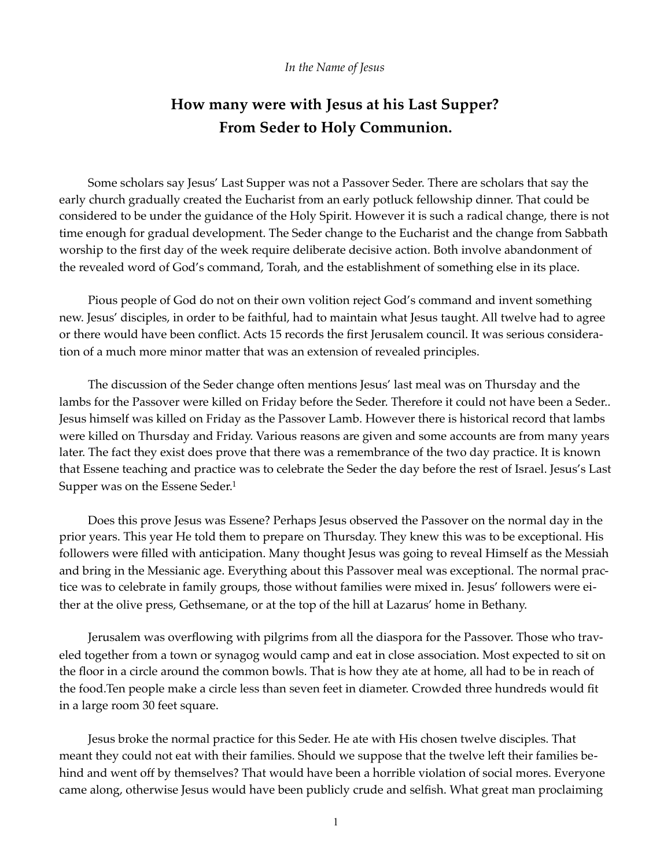## *In the Name of Jesus*

## **How many were with Jesus at his Last Supper? From Seder to Holy Communion.**

Some scholars say Jesus' Last Supper was not a Passover Seder. There are scholars that say the early church gradually created the Eucharist from an early potluck fellowship dinner. That could be considered to be under the guidance of the Holy Spirit. However it is such a radical change, there is not time enough for gradual development. The Seder change to the Eucharist and the change from Sabbath worship to the first day of the week require deliberate decisive action. Both involve abandonment of the revealed word of God's command, Torah, and the establishment of something else in its place.

Pious people of God do not on their own volition reject God's command and invent something new. Jesus' disciples, in order to be faithful, had to maintain what Jesus taught. All twelve had to agree or there would have been conflict. Acts 15 records the first Jerusalem council. It was serious consideration of a much more minor matter that was an extension of revealed principles.

The discussion of the Seder change often mentions Jesus' last meal was on Thursday and the lambs for the Passover were killed on Friday before the Seder. Therefore it could not have been a Seder.. Jesus himself was killed on Friday as the Passover Lamb. However there is historical record that lambs were killed on Thursday and Friday. Various reasons are given and some accounts are from many years later. The fact they exist does prove that there was a remembrance of the two day practice. It is known that Essene teaching and practice was to celebrate the Seder the day before the rest of Israel. Jesus's Last Supper was on the Essene Seder.<sup>1</sup>

<span id="page-0-0"></span>Does this prove Jesus was Essene? Perhaps Jesus observed the Passover on the normal day in the prior years. This year He told them to prepare on Thursday. They knew this was to be exceptional. His followers were filled with anticipation. Many thought Jesus was going to reveal Himself as the Messiah and bring in the Messianic age. Everything about this Passover meal was exceptional. The normal practice was to celebrate in family groups, those without families were mixed in. Jesus' followers were either at the olive press, Gethsemane, or at the top of the hill at Lazarus' home in Bethany.

Jerusalem was overflowing with pilgrims from all the diaspora for the Passover. Those who traveled together from a town or synagog would camp and eat in close association. Most expected to sit on the floor in a circle around the common bowls. That is how they ate at home, all had to be in reach of the food.Ten people make a circle less than seven feet in diameter. Crowded three hundreds would fit in a large room 30 feet square.

Jesus broke the normal practice for this Seder. He ate with His chosen twelve disciples. That meant they could not eat with their families. Should we suppose that the twelve left their families behind and went off by themselves? That would have been a horrible violation of social mores. Everyone came along, otherwise Jesus would have been publicly crude and selfish. What great man proclaiming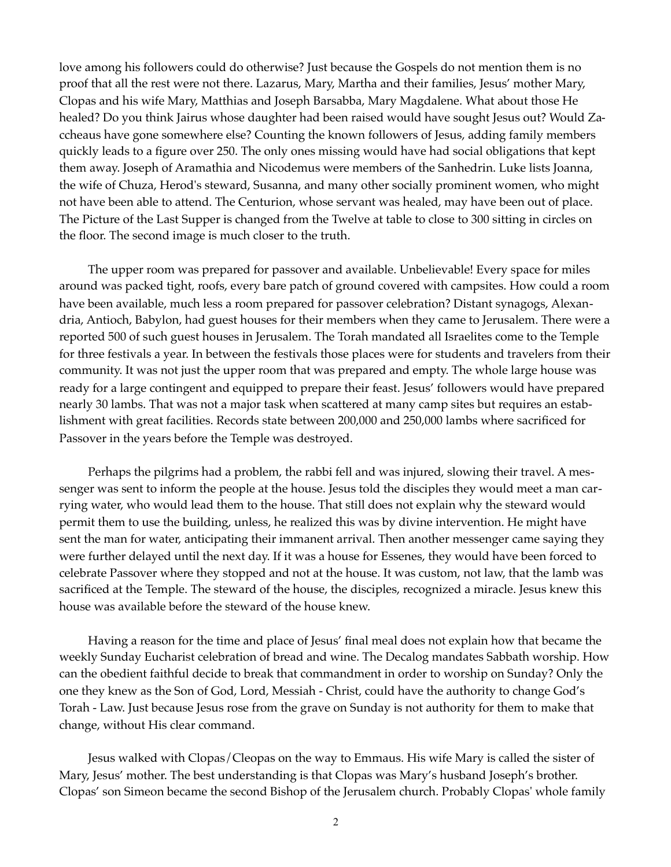love among his followers could do otherwise? Just because the Gospels do not mention them is no proof that all the rest were not there. Lazarus, Mary, Martha and their families, Jesus' mother Mary, Clopas and his wife Mary, Matthias and Joseph Barsabba, Mary Magdalene. What about those He healed? Do you think Jairus whose daughter had been raised would have sought Jesus out? Would Zaccheaus have gone somewhere else? Counting the known followers of Jesus, adding family members quickly leads to a figure over 250. The only ones missing would have had social obligations that kept them away. Joseph of Aramathia and Nicodemus were members of the Sanhedrin. Luke lists Joanna, the wife of Chuza, Herod's steward, Susanna, and many other socially prominent women, who might not have been able to attend. The Centurion, whose servant was healed, may have been out of place. The Picture of the Last Supper is changed from the Twelve at table to close to 300 sitting in circles on the floor. The second image is much closer to the truth.

The upper room was prepared for passover and available. Unbelievable! Every space for miles around was packed tight, roofs, every bare patch of ground covered with campsites. How could a room have been available, much less a room prepared for passover celebration? Distant synagogs, Alexandria, Antioch, Babylon, had guest houses for their members when they came to Jerusalem. There were a reported 500 of such guest houses in Jerusalem. The Torah mandated all Israelites come to the Temple for three festivals a year. In between the festivals those places were for students and travelers from their community. It was not just the upper room that was prepared and empty. The whole large house was ready for a large contingent and equipped to prepare their feast. Jesus' followers would have prepared nearly 30 lambs. That was not a major task when scattered at many camp sites but requires an establishment with great facilities. Records state between 200,000 and 250,000 lambs where sacrificed for Passover in the years before the Temple was destroyed.

Perhaps the pilgrims had a problem, the rabbi fell and was injured, slowing their travel. A messenger was sent to inform the people at the house. Jesus told the disciples they would meet a man carrying water, who would lead them to the house. That still does not explain why the steward would permit them to use the building, unless, he realized this was by divine intervention. He might have sent the man for water, anticipating their immanent arrival. Then another messenger came saying they were further delayed until the next day. If it was a house for Essenes, they would have been forced to celebrate Passover where they stopped and not at the house. It was custom, not law, that the lamb was sacrificed at the Temple. The steward of the house, the disciples, recognized a miracle. Jesus knew this house was available before the steward of the house knew.

Having a reason for the time and place of Jesus' final meal does not explain how that became the weekly Sunday Eucharist celebration of bread and wine. The Decalog mandates Sabbath worship. How can the obedient faithful decide to break that commandment in order to worship on Sunday? Only the one they knew as the Son of God, Lord, Messiah - Christ, could have the authority to change God's Torah - Law. Just because Jesus rose from the grave on Sunday is not authority for them to make that change, without His clear command.

Jesus walked with Clopas/Cleopas on the way to Emmaus. His wife Mary is called the sister of Mary, Jesus' mother. The best understanding is that Clopas was Mary's husband Joseph's brother. Clopas' son Simeon became the second Bishop of the Jerusalem church. Probably Clopas' whole family